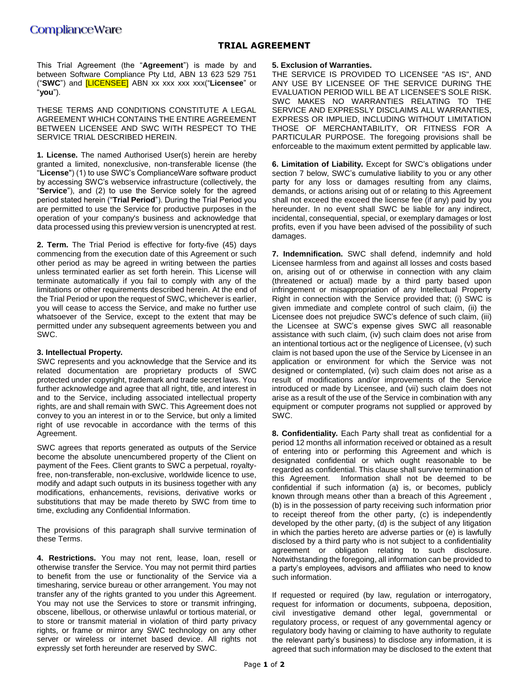## **TRIAL AGREEMENT**

This Trial Agreement (the "**Agreement**") is made by and between Software Compliance Pty Ltd, ABN 13 623 529 751 ("**SWC**") and [LICENSEE] ABN xx xxx xxx xxx("**Licensee**" or "**you**").

THESE TERMS AND CONDITIONS CONSTITUTE A LEGAL AGREEMENT WHICH CONTAINS THE ENTIRE AGREEMENT BETWEEN LICENSEE AND SWC WITH RESPECT TO THE SERVICE TRIAL DESCRIBED HEREIN.

**1. License.** The named Authorised User(s) herein are hereby granted a limited, nonexclusive, non-transferable license (the "**License**") (1) to use SWC's ComplianceWare software product by accessing SWC's webservice infrastructure (collectively, the "**Service**"), and (2) to use the Service solely for the agreed period stated herein ("**Trial Period**"). During the Trial Period you are permitted to use the Service for productive purposes in the operation of your company's business and acknowledge that data processed using this preview version is unencrypted at rest.

**2. Term.** The Trial Period is effective for forty-five (45) days commencing from the execution date of this Agreement or such other period as may be agreed in writing between the parties unless terminated earlier as set forth herein. This License will terminate automatically if you fail to comply with any of the limitations or other requirements described herein. At the end of the Trial Period or upon the request of SWC, whichever is earlier, you will cease to access the Service, and make no further use whatsoever of the Service, except to the extent that may be permitted under any subsequent agreements between you and SWC.

### **3. Intellectual Property.**

SWC represents and you acknowledge that the Service and its related documentation are proprietary products of SWC protected under copyright, trademark and trade secret laws. You further acknowledge and agree that all right, title, and interest in and to the Service, including associated intellectual property rights, are and shall remain with SWC. This Agreement does not convey to you an interest in or to the Service, but only a limited right of use revocable in accordance with the terms of this Agreement.

SWC agrees that reports generated as outputs of the Service become the absolute unencumbered property of the Client on payment of the Fees. Client grants to SWC a perpetual, royaltyfree, non-transferable, non-exclusive, worldwide licence to use, modify and adapt such outputs in its business together with any modifications, enhancements, revisions, derivative works or substitutions that may be made thereto by SWC from time to time, excluding any Confidential Information.

The provisions of this paragraph shall survive termination of these Terms.

**4. Restrictions.** You may not rent, lease, loan, resell or otherwise transfer the Service. You may not permit third parties to benefit from the use or functionality of the Service via a timesharing, service bureau or other arrangement. You may not transfer any of the rights granted to you under this Agreement. You may not use the Services to store or transmit infringing, obscene, libellous, or otherwise unlawful or tortious material, or to store or transmit material in violation of third party privacy rights, or frame or mirror any SWC technology on any other server or wireless or internet based device. All rights not expressly set forth hereunder are reserved by SWC.

#### **5. Exclusion of Warranties.**

THE SERVICE IS PROVIDED TO LICENSEE "AS IS", AND ANY USE BY LICENSEE OF THE SERVICE DURING THE EVALUATION PERIOD WILL BE AT LICENSEE'S SOLE RISK. SWC MAKES NO WARRANTIES RELATING TO THE SERVICE AND EXPRESSLY DISCLAIMS ALL WARRANTIES, EXPRESS OR IMPLIED, INCLUDING WITHOUT LIMITATION THOSE OF MERCHANTABILITY, OR FITNESS FOR A PARTICULAR PURPOSE. The foregoing provisions shall be enforceable to the maximum extent permitted by applicable law.

**6. Limitation of Liability.** Except for SWC's obligations under section 7 below, SWC's cumulative liability to you or any other party for any loss or damages resulting from any claims, demands, or actions arising out of or relating to this Agreement shall not exceed the exceed the license fee (if any) paid by you hereunder. In no event shall SWC be liable for any indirect, incidental, consequential, special, or exemplary damages or lost profits, even if you have been advised of the possibility of such damages.

**7. Indemnification.** SWC shall defend, indemnify and hold Licensee harmless from and against all losses and costs based on, arising out of or otherwise in connection with any claim (threatened or actual) made by a third party based upon infringement or misappropriation of any Intellectual Property Right in connection with the Service provided that; (i) SWC is given immediate and complete control of such claim, (ii) the Licensee does not prejudice SWC's defence of such claim, (iii) the Licensee at SWC's expense gives SWC all reasonable assistance with such claim, (iv) such claim does not arise from an intentional tortious act or the negligence of Licensee, (v) such claim is not based upon the use of the Service by Licensee in an application or environment for which the Service was not designed or contemplated, (vi) such claim does not arise as a result of modifications and/or improvements of the Service introduced or made by Licensee, and (vii) such claim does not arise as a result of the use of the Service in combination with any equipment or computer programs not supplied or approved by SWC.

**8. Confidentiality.** Each Party shall treat as confidential for a period 12 months all information received or obtained as a result of entering into or performing this Agreement and which is designated confidential or which ought reasonable to be regarded as confidential. This clause shall survive termination of this Agreement. Information shall not be deemed to be confidential if such information (a) is, or becomes, publicly known through means other than a breach of this Agreement , (b) is in the possession of party receiving such information prior to receipt thereof from the other party, (c) is independently developed by the other party, (d) is the subject of any litigation in which the parties hereto are adverse parties or (e) is lawfully disclosed by a third party who is not subject to a confidentiality agreement or obligation relating to such disclosure. Notwithstanding the foregoing, all information can be provided to a party's employees, advisors and affiliates who need to know such information.

If requested or required (by law, regulation or interrogatory, request for information or documents, subpoena, deposition, civil investigative demand other legal, governmental or regulatory process, or request of any governmental agency or regulatory body having or claiming to have authority to regulate the relevant party's business) to disclose any information, it is agreed that such information may be disclosed to the extent that